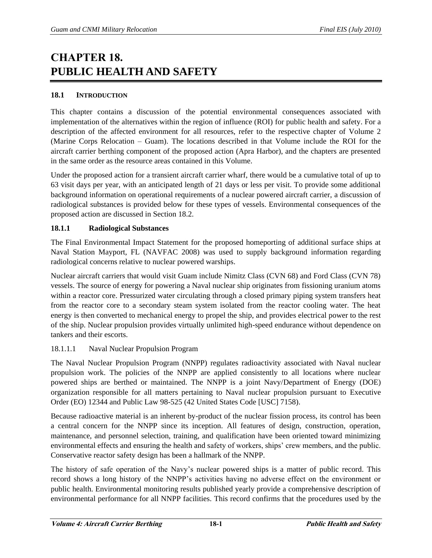# **CHAPTER 18. PUBLIC HEALTH AND SAFETY**

# **18.1 INTRODUCTION**

This chapter contains a discussion of the potential environmental consequences associated with implementation of the alternatives within the region of influence (ROI) for public health and safety. For a description of the affected environment for all resources, refer to the respective chapter of Volume 2 (Marine Corps Relocation – Guam). The locations described in that Volume include the ROI for the aircraft carrier berthing component of the proposed action (Apra Harbor), and the chapters are presented in the same order as the resource areas contained in this Volume.

Under the proposed action for a transient aircraft carrier wharf, there would be a cumulative total of up to 63 visit days per year, with an anticipated length of 21 days or less per visit. To provide some additional background information on operational requirements of a nuclear powered aircraft carrier, a discussion of radiological substances is provided below for these types of vessels. Environmental consequences of the proposed action are discussed in Section 18.2.

## **18.1.1 Radiological Substances**

The Final Environmental Impact Statement for the proposed homeporting of additional surface ships at Naval Station Mayport, FL (NAVFAC 2008) was used to supply background information regarding radiological concerns relative to nuclear powered warships.

Nuclear aircraft carriers that would visit Guam include Nimitz Class (CVN 68) and Ford Class (CVN 78) vessels. The source of energy for powering a Naval nuclear ship originates from fissioning uranium atoms within a reactor core. Pressurized water circulating through a closed primary piping system transfers heat from the reactor core to a secondary steam system isolated from the reactor cooling water. The heat energy is then converted to mechanical energy to propel the ship, and provides electrical power to the rest of the ship. Nuclear propulsion provides virtually unlimited high-speed endurance without dependence on tankers and their escorts.

# 18.1.1.1 Naval Nuclear Propulsion Program

The Naval Nuclear Propulsion Program (NNPP) regulates radioactivity associated with Naval nuclear propulsion work. The policies of the NNPP are applied consistently to all locations where nuclear powered ships are berthed or maintained. The NNPP is a joint Navy/Department of Energy (DOE) organization responsible for all matters pertaining to Naval nuclear propulsion pursuant to Executive Order (EO) 12344 and Public Law 98-525 (42 United States Code [USC] 7158).

Because radioactive material is an inherent by-product of the nuclear fission process, its control has been a central concern for the NNPP since its inception. All features of design, construction, operation, maintenance, and personnel selection, training, and qualification have been oriented toward minimizing environmental effects and ensuring the health and safety of workers, ships' crew members, and the public. Conservative reactor safety design has been a hallmark of the NNPP.

The history of safe operation of the Navy's nuclear powered ships is a matter of public record. This record shows a long history of the NNPP's activities having no adverse effect on the environment or public health. Environmental monitoring results published yearly provide a comprehensive description of environmental performance for all NNPP facilities. This record confirms that the procedures used by the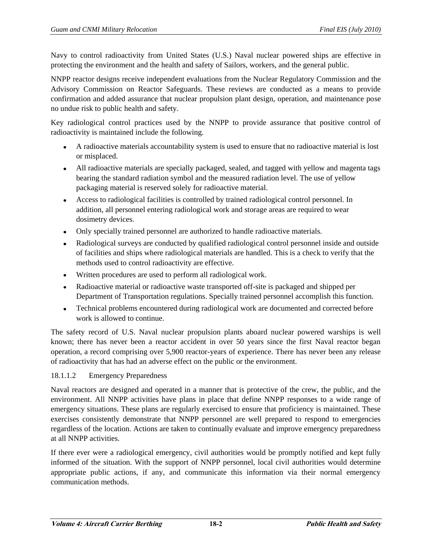Navy to control radioactivity from United States (U.S.) Naval nuclear powered ships are effective in protecting the environment and the health and safety of Sailors, workers, and the general public.

NNPP reactor designs receive independent evaluations from the Nuclear Regulatory Commission and the Advisory Commission on Reactor Safeguards. These reviews are conducted as a means to provide confirmation and added assurance that nuclear propulsion plant design, operation, and maintenance pose no undue risk to public health and safety.

Key radiological control practices used by the NNPP to provide assurance that positive control of radioactivity is maintained include the following.

- A radioactive materials accountability system is used to ensure that no radioactive material is lost or misplaced.
- All radioactive materials are specially packaged, sealed, and tagged with yellow and magenta tags bearing the standard radiation symbol and the measured radiation level. The use of yellow packaging material is reserved solely for radioactive material.
- Access to radiological facilities is controlled by trained radiological control personnel. In addition, all personnel entering radiological work and storage areas are required to wear dosimetry devices.
- Only specially trained personnel are authorized to handle radioactive materials.
- Radiological surveys are conducted by qualified radiological control personnel inside and outside of facilities and ships where radiological materials are handled. This is a check to verify that the methods used to control radioactivity are effective.
- Written procedures are used to perform all radiological work.
- Radioactive material or radioactive waste transported off-site is packaged and shipped per Department of Transportation regulations. Specially trained personnel accomplish this function.
- Technical problems encountered during radiological work are documented and corrected before work is allowed to continue.

The safety record of U.S. Naval nuclear propulsion plants aboard nuclear powered warships is well known; there has never been a reactor accident in over 50 years since the first Naval reactor began operation, a record comprising over 5,900 reactor-years of experience. There has never been any release of radioactivity that has had an adverse effect on the public or the environment.

# 18.1.1.2 Emergency Preparedness

Naval reactors are designed and operated in a manner that is protective of the crew, the public, and the environment. All NNPP activities have plans in place that define NNPP responses to a wide range of emergency situations. These plans are regularly exercised to ensure that proficiency is maintained. These exercises consistently demonstrate that NNPP personnel are well prepared to respond to emergencies regardless of the location. Actions are taken to continually evaluate and improve emergency preparedness at all NNPP activities.

If there ever were a radiological emergency, civil authorities would be promptly notified and kept fully informed of the situation. With the support of NNPP personnel, local civil authorities would determine appropriate public actions, if any, and communicate this information via their normal emergency communication methods.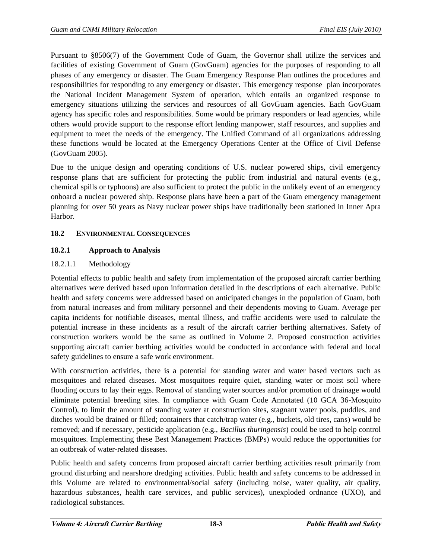Pursuant to §8506(7) of the Government Code of Guam, the Governor shall utilize the services and facilities of existing Government of Guam (GovGuam) agencies for the purposes of responding to all phases of any emergency or disaster. The Guam Emergency Response Plan outlines the procedures and responsibilities for responding to any emergency or disaster. This emergency response plan incorporates the National Incident Management System of operation, which entails an organized response to emergency situations utilizing the services and resources of all GovGuam agencies. Each GovGuam agency has specific roles and responsibilities. Some would be primary responders or lead agencies, while others would provide support to the response effort lending manpower, staff resources, and supplies and equipment to meet the needs of the emergency. The Unified Command of all organizations addressing these functions would be located at the Emergency Operations Center at the Office of Civil Defense (GovGuam 2005).

Due to the unique design and operating conditions of U.S. nuclear powered ships, civil emergency response plans that are sufficient for protecting the public from industrial and natural events (e.g., chemical spills or typhoons) are also sufficient to protect the public in the unlikely event of an emergency onboard a nuclear powered ship. Response plans have been a part of the Guam emergency management planning for over 50 years as Navy nuclear power ships have traditionally been stationed in Inner Apra Harbor.

# **18.2 ENVIRONMENTAL CONSEQUENCES**

# **18.2.1 Approach to Analysis**

## 18.2.1.1 Methodology

Potential effects to public health and safety from implementation of the proposed aircraft carrier berthing alternatives were derived based upon information detailed in the descriptions of each alternative. Public health and safety concerns were addressed based on anticipated changes in the population of Guam, both from natural increases and from military personnel and their dependents moving to Guam. Average per capita incidents for notifiable diseases, mental illness, and traffic accidents were used to calculate the potential increase in these incidents as a result of the aircraft carrier berthing alternatives. Safety of construction workers would be the same as outlined in Volume 2. Proposed construction activities supporting aircraft carrier berthing activities would be conducted in accordance with federal and local safety guidelines to ensure a safe work environment.

With construction activities, there is a potential for standing water and water based vectors such as mosquitoes and related diseases. Most mosquitoes require quiet, standing water or moist soil where flooding occurs to lay their eggs. Removal of standing water sources and/or promotion of drainage would eliminate potential breeding sites. In compliance with Guam Code Annotated (10 GCA 36-Mosquito Control), to limit the amount of standing water at construction sites, stagnant water pools, puddles, and ditches would be drained or filled; containers that catch/trap water (e.g., buckets, old tires, cans) would be removed; and if necessary, pesticide application (e.g., *Bacillus thuringensis*) could be used to help control mosquitoes. Implementing these Best Management Practices (BMPs) would reduce the opportunities for an outbreak of water-related diseases.

Public health and safety concerns from proposed aircraft carrier berthing activities result primarily from ground disturbing and nearshore dredging activities. Public health and safety concerns to be addressed in this Volume are related to environmental/social safety (including noise, water quality, air quality, hazardous substances, health care services, and public services), unexploded ordnance (UXO), and radiological substances.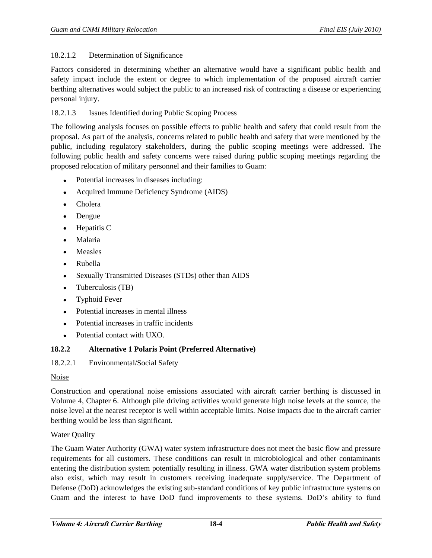## 18.2.1.2 Determination of Significance

Factors considered in determining whether an alternative would have a significant public health and safety impact include the extent or degree to which implementation of the proposed aircraft carrier berthing alternatives would subject the public to an increased risk of contracting a disease or experiencing personal injury.

## 18.2.1.3 Issues Identified during Public Scoping Process

The following analysis focuses on possible effects to public health and safety that could result from the proposal. As part of the analysis, concerns related to public health and safety that were mentioned by the public, including regulatory stakeholders, during the public scoping meetings were addressed. The following public health and safety concerns were raised during public scoping meetings regarding the proposed relocation of military personnel and their families to Guam:

- Potential increases in diseases including:
- $\bullet$ Acquired Immune Deficiency Syndrome (AIDS)
- $\bullet$ Cholera
- Dengue  $\bullet$
- Hepatitis C  $\bullet$
- Malaria  $\bullet$
- Measles  $\bullet$
- Rubella  $\bullet$
- Sexually Transmitted Diseases (STDs) other than AIDS  $\bullet$
- Tuberculosis (TB)  $\bullet$
- Typhoid Fever  $\bullet$
- Potential increases in mental illness  $\bullet$
- Potential increases in traffic incidents  $\bullet$
- Potential contact with UXO.

# **18.2.2 Alternative 1 Polaris Point (Preferred Alternative)**

## 18.2.2.1 Environmental/Social Safety

## Noise

Construction and operational noise emissions associated with aircraft carrier berthing is discussed in Volume 4, Chapter 6. Although pile driving activities would generate high noise levels at the source, the noise level at the nearest receptor is well within acceptable limits. Noise impacts due to the aircraft carrier berthing would be less than significant.

## Water Quality

The Guam Water Authority (GWA) water system infrastructure does not meet the basic flow and pressure requirements for all customers. These conditions can result in microbiological and other contaminants entering the distribution system potentially resulting in illness. GWA water distribution system problems also exist, which may result in customers receiving inadequate supply/service. The Department of Defense (DoD) acknowledges the existing sub-standard conditions of key public infrastructure systems on Guam and the interest to have DoD fund improvements to these systems. DoD's ability to fund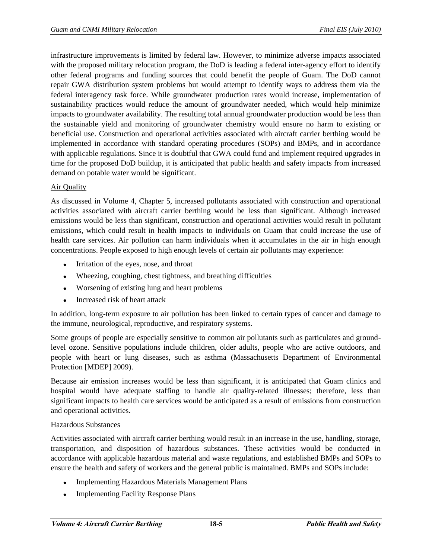infrastructure improvements is limited by federal law. However, to minimize adverse impacts associated with the proposed military relocation program, the DoD is leading a federal inter-agency effort to identify other federal programs and funding sources that could benefit the people of Guam. The DoD cannot repair GWA distribution system problems but would attempt to identify ways to address them via the federal interagency task force. While groundwater production rates would increase, implementation of sustainability practices would reduce the amount of groundwater needed, which would help minimize impacts to groundwater availability. The resulting total annual groundwater production would be less than the sustainable yield and monitoring of groundwater chemistry would ensure no harm to existing or beneficial use. Construction and operational activities associated with aircraft carrier berthing would be implemented in accordance with standard operating procedures (SOPs) and BMPs, and in accordance with applicable regulations. Since it is doubtful that GWA could fund and implement required upgrades in time for the proposed DoD buildup, it is anticipated that public health and safety impacts from increased demand on potable water would be significant.

## Air Quality

As discussed in Volume 4, Chapter 5, increased pollutants associated with construction and operational activities associated with aircraft carrier berthing would be less than significant. Although increased emissions would be less than significant, construction and operational activities would result in pollutant emissions, which could result in health impacts to individuals on Guam that could increase the use of health care services. Air pollution can harm individuals when it accumulates in the air in high enough concentrations. People exposed to high enough levels of certain air pollutants may experience:

- $\bullet$ Irritation of the eyes, nose, and throat
- Wheezing, coughing, chest tightness, and breathing difficulties
- Worsening of existing lung and heart problems
- Increased risk of heart attack

In addition, long-term exposure to air pollution has been linked to certain types of cancer and damage to the immune, neurological, reproductive, and respiratory systems.

Some groups of people are especially sensitive to common air pollutants such as particulates and groundlevel ozone. Sensitive populations include children, older adults, people who are active outdoors, and people with heart or lung diseases, such as asthma (Massachusetts Department of Environmental Protection [MDEP] 2009).

Because air emission increases would be less than significant, it is anticipated that Guam clinics and hospital would have adequate staffing to handle air quality-related illnesses; therefore, less than significant impacts to health care services would be anticipated as a result of emissions from construction and operational activities.

## Hazardous Substances

Activities associated with aircraft carrier berthing would result in an increase in the use, handling, storage, transportation, and disposition of hazardous substances. These activities would be conducted in accordance with applicable hazardous material and waste regulations, and established BMPs and SOPs to ensure the health and safety of workers and the general public is maintained. BMPs and SOPs include:

- Implementing Hazardous Materials Management Plans  $\bullet$
- Implementing Facility Response Plans  $\bullet$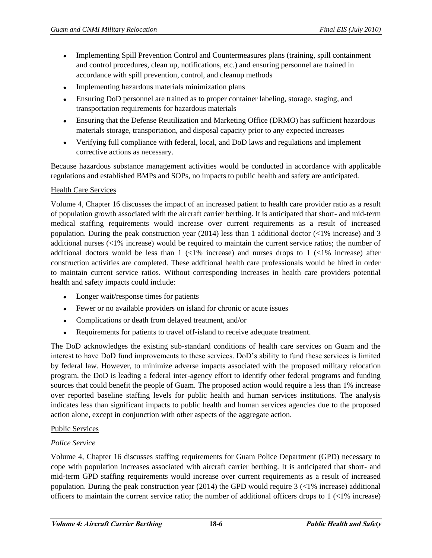- Implementing Spill Prevention Control and Countermeasures plans (training, spill containment and control procedures, clean up, notifications, etc.) and ensuring personnel are trained in accordance with spill prevention, control, and cleanup methods
- Implementing hazardous materials minimization plans  $\bullet$
- Ensuring DoD personnel are trained as to proper container labeling, storage, staging, and transportation requirements for hazardous materials
- Ensuring that the Defense Reutilization and Marketing Office (DRMO) has sufficient hazardous materials storage, transportation, and disposal capacity prior to any expected increases
- Verifying full compliance with federal, local, and DoD laws and regulations and implement corrective actions as necessary.

Because hazardous substance management activities would be conducted in accordance with applicable regulations and established BMPs and SOPs, no impacts to public health and safety are anticipated.

## Health Care Services

Volume 4, Chapter 16 discusses the impact of an increased patient to health care provider ratio as a result of population growth associated with the aircraft carrier berthing. It is anticipated that short- and mid-term medical staffing requirements would increase over current requirements as a result of increased population. During the peak construction year (2014) less than 1 additional doctor (<1% increase) and 3 additional nurses (<1% increase) would be required to maintain the current service ratios; the number of additional doctors would be less than  $1 \leq 1\%$  increase) and nurses drops to  $1 \leq 1\%$  increase) after construction activities are completed. These additional health care professionals would be hired in order to maintain current service ratios. Without corresponding increases in health care providers potential health and safety impacts could include:

- Longer wait/response times for patients
- Fewer or no available providers on island for chronic or acute issues
- Complications or death from delayed treatment, and/or
- $\bullet$ Requirements for patients to travel off-island to receive adequate treatment.

The DoD acknowledges the existing sub-standard conditions of health care services on Guam and the interest to have DoD fund improvements to these services. DoD's ability to fund these services is limited by federal law. However, to minimize adverse impacts associated with the proposed military relocation program, the DoD is leading a federal inter-agency effort to identify other federal programs and funding sources that could benefit the people of Guam. The proposed action would require a less than 1% increase over reported baseline staffing levels for public health and human services institutions. The analysis indicates less than significant impacts to public health and human services agencies due to the proposed action alone, except in conjunction with other aspects of the aggregate action.

## Public Services

## *Police Service*

Volume 4, Chapter 16 discusses staffing requirements for Guam Police Department (GPD) necessary to cope with population increases associated with aircraft carrier berthing. It is anticipated that short- and mid-term GPD staffing requirements would increase over current requirements as a result of increased population. During the peak construction year (2014) the GPD would require 3 (<1% increase) additional officers to maintain the current service ratio; the number of additional officers drops to 1 (<1% increase)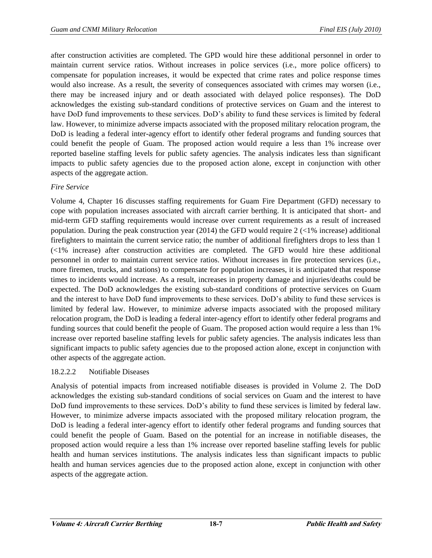after construction activities are completed. The GPD would hire these additional personnel in order to maintain current service ratios. Without increases in police services (i.e., more police officers) to compensate for population increases, it would be expected that crime rates and police response times would also increase. As a result, the severity of consequences associated with crimes may worsen (i.e., there may be increased injury and or death associated with delayed police responses). The DoD acknowledges the existing sub-standard conditions of protective services on Guam and the interest to have DoD fund improvements to these services. DoD's ability to fund these services is limited by federal law. However, to minimize adverse impacts associated with the proposed military relocation program, the DoD is leading a federal inter-agency effort to identify other federal programs and funding sources that could benefit the people of Guam. The proposed action would require a less than 1% increase over reported baseline staffing levels for public safety agencies. The analysis indicates less than significant impacts to public safety agencies due to the proposed action alone, except in conjunction with other aspects of the aggregate action.

# *Fire Service*

Volume 4, Chapter 16 discusses staffing requirements for Guam Fire Department (GFD) necessary to cope with population increases associated with aircraft carrier berthing. It is anticipated that short- and mid-term GFD staffing requirements would increase over current requirements as a result of increased population. During the peak construction year (2014) the GFD would require  $2 \times 1\%$  increase) additional firefighters to maintain the current service ratio; the number of additional firefighters drops to less than 1 (<1% increase) after construction activities are completed. The GFD would hire these additional personnel in order to maintain current service ratios. Without increases in fire protection services (i.e., more firemen, trucks, and stations) to compensate for population increases, it is anticipated that response times to incidents would increase. As a result, increases in property damage and injuries/deaths could be expected. The DoD acknowledges the existing sub-standard conditions of protective services on Guam and the interest to have DoD fund improvements to these services. DoD's ability to fund these services is limited by federal law. However, to minimize adverse impacts associated with the proposed military relocation program, the DoD is leading a federal inter-agency effort to identify other federal programs and funding sources that could benefit the people of Guam. The proposed action would require a less than 1% increase over reported baseline staffing levels for public safety agencies. The analysis indicates less than significant impacts to public safety agencies due to the proposed action alone, except in conjunction with other aspects of the aggregate action.

## 18.2.2.2 Notifiable Diseases

Analysis of potential impacts from increased notifiable diseases is provided in Volume 2. The DoD acknowledges the existing sub-standard conditions of social services on Guam and the interest to have DoD fund improvements to these services. DoD's ability to fund these services is limited by federal law. However, to minimize adverse impacts associated with the proposed military relocation program, the DoD is leading a federal inter-agency effort to identify other federal programs and funding sources that could benefit the people of Guam. Based on the potential for an increase in notifiable diseases, the proposed action would require a less than 1% increase over reported baseline staffing levels for public health and human services institutions. The analysis indicates less than significant impacts to public health and human services agencies due to the proposed action alone, except in conjunction with other aspects of the aggregate action.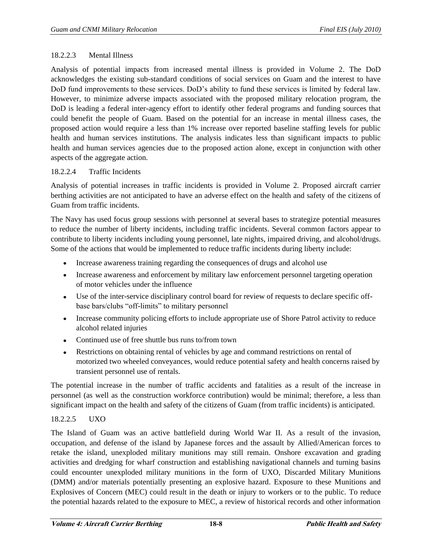## 18.2.2.3 Mental Illness

Analysis of potential impacts from increased mental illness is provided in Volume 2. The DoD acknowledges the existing sub-standard conditions of social services on Guam and the interest to have DoD fund improvements to these services. DoD's ability to fund these services is limited by federal law. However, to minimize adverse impacts associated with the proposed military relocation program, the DoD is leading a federal inter-agency effort to identify other federal programs and funding sources that could benefit the people of Guam. Based on the potential for an increase in mental illness cases, the proposed action would require a less than 1% increase over reported baseline staffing levels for public health and human services institutions. The analysis indicates less than significant impacts to public health and human services agencies due to the proposed action alone, except in conjunction with other aspects of the aggregate action.

## 18.2.2.4 Traffic Incidents

Analysis of potential increases in traffic incidents is provided in Volume 2. Proposed aircraft carrier berthing activities are not anticipated to have an adverse effect on the health and safety of the citizens of Guam from traffic incidents.

The Navy has used focus group sessions with personnel at several bases to strategize potential measures to reduce the number of liberty incidents, including traffic incidents. Several common factors appear to contribute to liberty incidents including young personnel, late nights, impaired driving, and alcohol/drugs. Some of the actions that would be implemented to reduce traffic incidents during liberty include:

- Increase awareness training regarding the consequences of drugs and alcohol use
- Increase awareness and enforcement by military law enforcement personnel targeting operation of motor vehicles under the influence
- Use of the inter-service disciplinary control board for review of requests to declare specific offbase bars/clubs "off-limits" to military personnel
- Increase community policing efforts to include appropriate use of Shore Patrol activity to reduce  $\bullet$ alcohol related injuries
- $\bullet$ Continued use of free shuttle bus runs to/from town
- Restrictions on obtaining rental of vehicles by age and command restrictions on rental of  $\bullet$ motorized two wheeled conveyances, would reduce potential safety and health concerns raised by transient personnel use of rentals.

The potential increase in the number of traffic accidents and fatalities as a result of the increase in personnel (as well as the construction workforce contribution) would be minimal; therefore, a less than significant impact on the health and safety of the citizens of Guam (from traffic incidents) is anticipated.

# 18.2.2.5 UXO

The Island of Guam was an active battlefield during World War II. As a result of the invasion, occupation, and defense of the island by Japanese forces and the assault by Allied/American forces to retake the island, unexploded military munitions may still remain. Onshore excavation and grading activities and dredging for wharf construction and establishing navigational channels and turning basins could encounter unexploded military munitions in the form of UXO, Discarded Military Munitions (DMM) and/or materials potentially presenting an explosive hazard. Exposure to these Munitions and Explosives of Concern (MEC) could result in the death or injury to workers or to the public. To reduce the potential hazards related to the exposure to MEC, a review of historical records and other information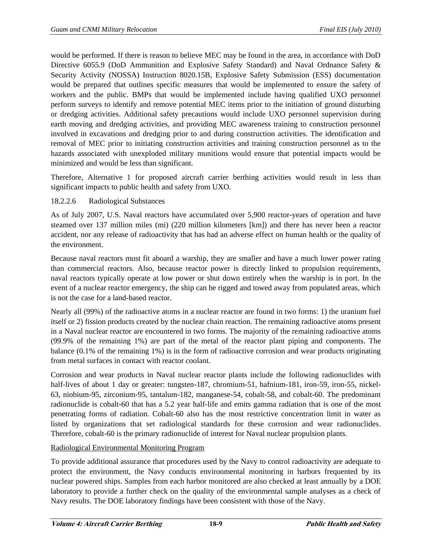would be performed. If there is reason to believe MEC may be found in the area, in accordance with DoD Directive 6055.9 (DoD Ammunition and Explosive Safety Standard) and Naval Ordnance Safety & Security Activity (NOSSA) Instruction 8020.15B, Explosive Safety Submission (ESS) documentation would be prepared that outlines specific measures that would be implemented to ensure the safety of workers and the public. BMPs that would be implemented include having qualified UXO personnel perform surveys to identify and remove potential MEC items prior to the initiation of ground disturbing or dredging activities. Additional safety precautions would include UXO personnel supervision during earth moving and dredging activities, and providing MEC awareness training to construction personnel involved in excavations and dredging prior to and during construction activities. The identification and removal of MEC prior to initiating construction activities and training construction personnel as to the hazards associated with unexploded military munitions would ensure that potential impacts would be minimized and would be less than significant.

Therefore, Alternative 1 for proposed aircraft carrier berthing activities would result in less than significant impacts to public health and safety from UXO.

## 18.2.2.6 Radiological Substances

As of July 2007, U.S. Naval reactors have accumulated over 5,900 reactor-years of operation and have steamed over 137 million miles (mi) (220 million kilometers [km]) and there has never been a reactor accident, nor any release of radioactivity that has had an adverse effect on human health or the quality of the environment.

Because naval reactors must fit aboard a warship, they are smaller and have a much lower power rating than commercial reactors. Also, because reactor power is directly linked to propulsion requirements, naval reactors typically operate at low power or shut down entirely when the warship is in port. In the event of a nuclear reactor emergency, the ship can be rigged and towed away from populated areas, which is not the case for a land-based reactor.

Nearly all (99%) of the radioactive atoms in a nuclear reactor are found in two forms: 1) the uranium fuel itself or 2) fission products created by the nuclear chain reaction. The remaining radioactive atoms present in a Naval nuclear reactor are encountered in two forms. The majority of the remaining radioactive atoms (99.9% of the remaining 1%) are part of the metal of the reactor plant piping and components. The balance (0.1% of the remaining 1%) is in the form of radioactive corrosion and wear products originating from metal surfaces in contact with reactor coolant.

Corrosion and wear products in Naval nuclear reactor plants include the following radionuclides with half-lives of about 1 day or greater: tungsten-187, chromium-51, hafnium-181, iron-59, iron-55, nickel-63, niobium-95, zirconium-95, tantalum-182, manganese-54, cobalt-58, and cobalt-60. The predominant radionuclide is cobalt-60 that has a 5.2 year half-life and emits gamma radiation that is one of the most penetrating forms of radiation. Cobalt-60 also has the most restrictive concentration limit in water as listed by organizations that set radiological standards for these corrosion and wear radionuclides. Therefore, cobalt-60 is the primary radionuclide of interest for Naval nuclear propulsion plants.

# Radiological Environmental Monitoring Program

To provide additional assurance that procedures used by the Navy to control radioactivity are adequate to protect the environment, the Navy conducts environmental monitoring in harbors frequented by its nuclear powered ships. Samples from each harbor monitored are also checked at least annually by a DOE laboratory to provide a further check on the quality of the environmental sample analyses as a check of Navy results. The DOE laboratory findings have been consistent with those of the Navy.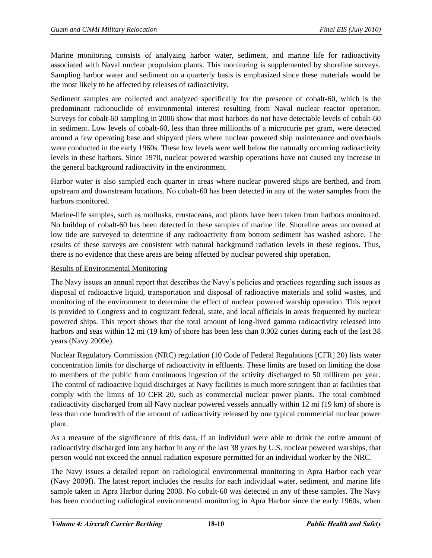Marine monitoring consists of analyzing harbor water, sediment, and marine life for radioactivity associated with Naval nuclear propulsion plants. This monitoring is supplemented by shoreline surveys. Sampling harbor water and sediment on a quarterly basis is emphasized since these materials would be the most likely to be affected by releases of radioactivity.

Sediment samples are collected and analyzed specifically for the presence of cobalt-60, which is the predominant radionuclide of environmental interest resulting from Naval nuclear reactor operation. Surveys for cobalt-60 sampling in 2006 show that most harbors do not have detectable levels of cobalt-60 in sediment. Low levels of cobalt-60, less than three millionths of a microcurie per gram, were detected around a few operating base and shipyard piers where nuclear powered ship maintenance and overhauls were conducted in the early 1960s. These low levels were well below the naturally occurring radioactivity levels in these harbors. Since 1970, nuclear powered warship operations have not caused any increase in the general background radioactivity in the environment.

Harbor water is also sampled each quarter in areas where nuclear powered ships are berthed, and from upstream and downstream locations. No cobalt-60 has been detected in any of the water samples from the harbors monitored.

Marine-life samples, such as mollusks, crustaceans, and plants have been taken from harbors monitored. No buildup of cobalt-60 has been detected in these samples of marine life. Shoreline areas uncovered at low tide are surveyed to determine if any radioactivity from bottom sediment has washed ashore. The results of these surveys are consistent with natural background radiation levels in these regions. Thus, there is no evidence that these areas are being affected by nuclear powered ship operation.

## Results of Environmental Monitoring

The Navy issues an annual report that describes the Navy's policies and practices regarding such issues as disposal of radioactive liquid, transportation and disposal of radioactive materials and solid wastes, and monitoring of the environment to determine the effect of nuclear powered warship operation. This report is provided to Congress and to cognizant federal, state, and local officials in areas frequented by nuclear powered ships. This report shows that the total amount of long-lived gamma radioactivity released into harbors and seas within 12 mi (19 km) of shore has been less than 0.002 curies during each of the last 38 years (Navy 2009e).

Nuclear Regulatory Commission (NRC) regulation (10 Code of Federal Regulations [CFR] 20) lists water concentration limits for discharge of radioactivity in effluents. These limits are based on limiting the dose to members of the public from continuous ingestion of the activity discharged to 50 millirem per year. The control of radioactive liquid discharges at Navy facilities is much more stringent than at facilities that comply with the limits of 10 CFR 20, such as commercial nuclear power plants. The total combined radioactivity discharged from all Navy nuclear powered vessels annually within 12 mi (19 km) of shore is less than one hundredth of the amount of radioactivity released by one typical commercial nuclear power plant.

As a measure of the significance of this data, if an individual were able to drink the entire amount of radioactivity discharged into any harbor in any of the last 38 years by U.S. nuclear powered warships, that person would not exceed the annual radiation exposure permitted for an individual worker by the NRC.

The Navy issues a detailed report on radiological environmental monitoring in Apra Harbor each year (Navy 2009f). The latest report includes the results for each individual water, sediment, and marine life sample taken in Apra Harbor during 2008. No cobalt-60 was detected in any of these samples. The Navy has been conducting radiological environmental monitoring in Apra Harbor since the early 1960s, when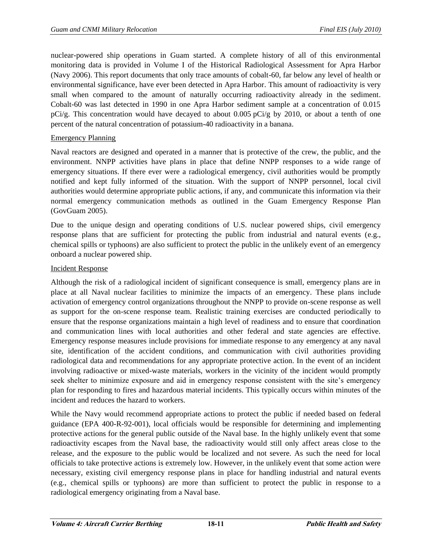nuclear-powered ship operations in Guam started. A complete history of all of this environmental monitoring data is provided in Volume I of the Historical Radiological Assessment for Apra Harbor (Navy 2006). This report documents that only trace amounts of cobalt-60, far below any level of health or environmental significance, have ever been detected in Apra Harbor. This amount of radioactivity is very small when compared to the amount of naturally occurring radioactivity already in the sediment. Cobalt-60 was last detected in 1990 in one Apra Harbor sediment sample at a concentration of 0.015 pCi/g. This concentration would have decayed to about 0.005 pCi/g by 2010, or about a tenth of one percent of the natural concentration of potassium-40 radioactivity in a banana.

## Emergency Planning

Naval reactors are designed and operated in a manner that is protective of the crew, the public, and the environment. NNPP activities have plans in place that define NNPP responses to a wide range of emergency situations. If there ever were a radiological emergency, civil authorities would be promptly notified and kept fully informed of the situation. With the support of NNPP personnel, local civil authorities would determine appropriate public actions, if any, and communicate this information via their normal emergency communication methods as outlined in the Guam Emergency Response Plan (GovGuam 2005).

Due to the unique design and operating conditions of U.S. nuclear powered ships, civil emergency response plans that are sufficient for protecting the public from industrial and natural events (e.g., chemical spills or typhoons) are also sufficient to protect the public in the unlikely event of an emergency onboard a nuclear powered ship.

## Incident Response

Although the risk of a radiological incident of significant consequence is small, emergency plans are in place at all Naval nuclear facilities to minimize the impacts of an emergency. These plans include activation of emergency control organizations throughout the NNPP to provide on-scene response as well as support for the on-scene response team. Realistic training exercises are conducted periodically to ensure that the response organizations maintain a high level of readiness and to ensure that coordination and communication lines with local authorities and other federal and state agencies are effective. Emergency response measures include provisions for immediate response to any emergency at any naval site, identification of the accident conditions, and communication with civil authorities providing radiological data and recommendations for any appropriate protective action. In the event of an incident involving radioactive or mixed-waste materials, workers in the vicinity of the incident would promptly seek shelter to minimize exposure and aid in emergency response consistent with the site's emergency plan for responding to fires and hazardous material incidents. This typically occurs within minutes of the incident and reduces the hazard to workers.

While the Navy would recommend appropriate actions to protect the public if needed based on federal guidance (EPA 400-R-92-001), local officials would be responsible for determining and implementing protective actions for the general public outside of the Naval base. In the highly unlikely event that some radioactivity escapes from the Naval base, the radioactivity would still only affect areas close to the release, and the exposure to the public would be localized and not severe. As such the need for local officials to take protective actions is extremely low. However, in the unlikely event that some action were necessary, existing civil emergency response plans in place for handling industrial and natural events (e.g., chemical spills or typhoons) are more than sufficient to protect the public in response to a radiological emergency originating from a Naval base.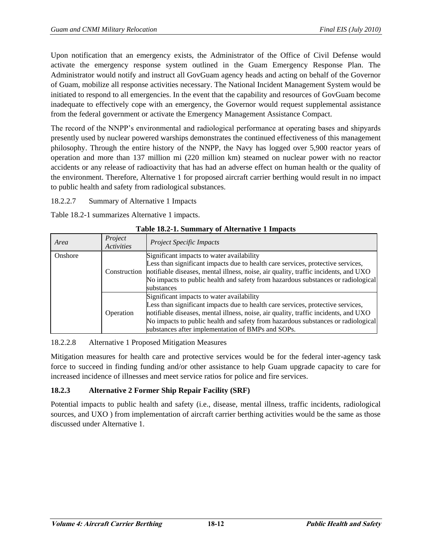Upon notification that an emergency exists, the Administrator of the Office of Civil Defense would activate the emergency response system outlined in the Guam Emergency Response Plan. The Administrator would notify and instruct all GovGuam agency heads and acting on behalf of the Governor of Guam, mobilize all response activities necessary. The National Incident Management System would be initiated to respond to all emergencies. In the event that the capability and resources of GovGuam become inadequate to effectively cope with an emergency, the Governor would request supplemental assistance from the federal government or activate the Emergency Management Assistance Compact.

The record of the NNPP's environmental and radiological performance at operating bases and shipyards presently used by nuclear powered warships demonstrates the continued effectiveness of this management philosophy. Through the entire history of the NNPP, the Navy has logged over 5,900 reactor years of operation and more than 137 million mi (220 million km) steamed on nuclear power with no reactor accidents or any release of radioactivity that has had an adverse effect on human health or the quality of the environment. Therefore, Alternative 1 for proposed aircraft carrier berthing would result in no impact to public health and safety from radiological substances.

18.2.2.7 Summary of Alternative 1 Impacts

Table 18.2-1 summarizes Alternative 1 impacts.

|         | 1 WOIV 1014 11 D'UILLING ( OI FINVEIRWE ( 1 IIIIPROV.) |                                                                                                                                                                                                                                                                                                                                                              |  |  |  |
|---------|--------------------------------------------------------|--------------------------------------------------------------------------------------------------------------------------------------------------------------------------------------------------------------------------------------------------------------------------------------------------------------------------------------------------------------|--|--|--|
| Area    | Project<br>Activities                                  | <b>Project Specific Impacts</b>                                                                                                                                                                                                                                                                                                                              |  |  |  |
| Onshore | Construction                                           | Significant impacts to water availability<br>Less than significant impacts due to health care services, protective services,<br>notifiable diseases, mental illness, noise, air quality, traffic incidents, and UXO<br>No impacts to public health and safety from hazardous substances or radiological<br>substances                                        |  |  |  |
|         | Operation                                              | Significant impacts to water availability<br>Less than significant impacts due to health care services, protective services,<br>notifiable diseases, mental illness, noise, air quality, traffic incidents, and UXO<br>No impacts to public health and safety from hazardous substances or radiological<br>substances after implementation of BMPs and SOPs. |  |  |  |

18.2.2.8 Alternative 1 Proposed Mitigation Measures

Mitigation measures for health care and protective services would be for the federal inter-agency task force to succeed in finding funding and/or other assistance to help Guam upgrade capacity to care for increased incidence of illnesses and meet service ratios for police and fire services.

# **18.2.3 Alternative 2 Former Ship Repair Facility (SRF)**

Potential impacts to public health and safety (i.e., disease, mental illness, traffic incidents, radiological sources, and UXO ) from implementation of aircraft carrier berthing activities would be the same as those discussed under Alternative 1.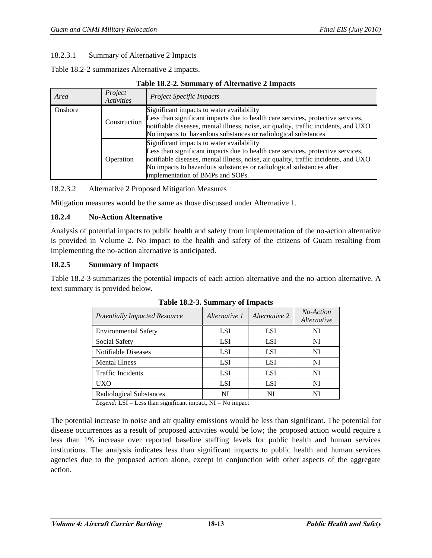#### 18.2.3.1 Summary of Alternative 2 Impacts

Table 18.2-2 summarizes Alternative 2 impacts.

#### **Table 18.2-2. Summary of Alternative 2 Impacts**

| Area    | Project<br><b>Activities</b> | <i>Project Specific Impacts</i>                                                                                                                                                                                                                                                                                                |
|---------|------------------------------|--------------------------------------------------------------------------------------------------------------------------------------------------------------------------------------------------------------------------------------------------------------------------------------------------------------------------------|
| Onshore | Construction                 | Significant impacts to water availability<br>Less than significant impacts due to health care services, protective services,<br>notifiable diseases, mental illness, noise, air quality, traffic incidents, and UXO<br>No impacts to hazardous substances or radiological substances                                           |
|         | Operation                    | Significant impacts to water availability<br>Less than significant impacts due to health care services, protective services,<br>notifiable diseases, mental illness, noise, air quality, traffic incidents, and UXO<br>No impacts to hazardous substances or radiological substances after<br>implementation of BMPs and SOPs. |

18.2.3.2 Alternative 2 Proposed Mitigation Measures

Mitigation measures would be the same as those discussed under Alternative 1.

## **18.2.4 No-Action Alternative**

Analysis of potential impacts to public health and safety from implementation of the no-action alternative is provided in Volume 2. No impact to the health and safety of the citizens of Guam resulting from implementing the no-action alternative is anticipated.

#### **18.2.5 Summary of Impacts**

Table 18.2-3 summarizes the potential impacts of each action alternative and the no-action alternative. A text summary is provided below.

| <b>Potentially Impacted Resource</b> | Alternative 1 | Alternative 2 | No-Action<br>Alternative |  |  |
|--------------------------------------|---------------|---------------|--------------------------|--|--|
| <b>Environmental Safety</b>          | <b>LSI</b>    | <b>LSI</b>    | NI                       |  |  |
| Social Safety                        | <b>LSI</b>    | <b>LSI</b>    | NI                       |  |  |
| Notifiable Diseases                  | <b>LSI</b>    | <b>LSI</b>    | NI                       |  |  |
| <b>Mental Illness</b>                | <b>LSI</b>    | <b>LSI</b>    | NI                       |  |  |
| <b>Traffic Incidents</b>             | <b>LSI</b>    | <b>LSI</b>    | NI                       |  |  |
| UXO                                  | <b>LSI</b>    | <b>LSI</b>    | NI                       |  |  |
| <b>Radiological Substances</b>       | NI            | NI            | NI                       |  |  |

|  |  |  | Table 18.2-3. Summary of Impacts |
|--|--|--|----------------------------------|
|--|--|--|----------------------------------|

*Legend:* LSI = Less than significant impact, NI = No impact

The potential increase in noise and air quality emissions would be less than significant. The potential for disease occurrences as a result of proposed activities would be low; the proposed action would require a less than 1% increase over reported baseline staffing levels for public health and human services institutions. The analysis indicates less than significant impacts to public health and human services agencies due to the proposed action alone, except in conjunction with other aspects of the aggregate action.